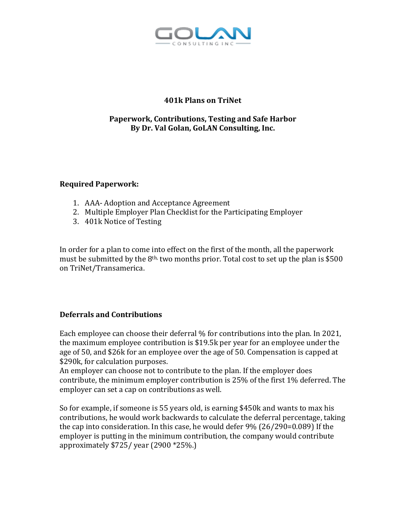

# **401k Plans on TriNet**

### **Paperwork, Contributions, Testing and Safe Harbor By Dr. Val Golan, GoLAN Consulting, Inc.**

### **Required Paperwork:**

- 1. AAA- Adoption and Acceptance Agreement
- 2. Multiple Employer Plan Checklist for the Participating Employer
- 3. 401k Notice of Testing

In order for a plan to come into effect on the first of the month, all the paperwork must be submitted by the  $8<sup>th</sup>$ , two months prior. Total cost to set up the plan is \$500 on TriNet/Transamerica.

## **Deferrals and Contributions**

Each employee can choose their deferral % for contributions into the plan. In 2021, the maximum employee contribution is \$19.5k per year for an employee under the age of 50, and \$26k for an employee over the age of 50. Compensation is capped at \$290k, for calculation purposes.

An employer can choose not to contribute to the plan. If the employer does contribute, the minimum employer contribution is 25% of the first 1% deferred. The employer can set a cap on contributions as well.

So for example, if someone is 55 years old, is earning \$450k and wants to max his contributions, he would work backwards to calculate the deferral percentage, taking the cap into consideration. In this case, he would defer 9% (26/290=0.089) If the employer is putting in the minimum contribution, the company would contribute approximately \$725/ year (2900 \*25%.)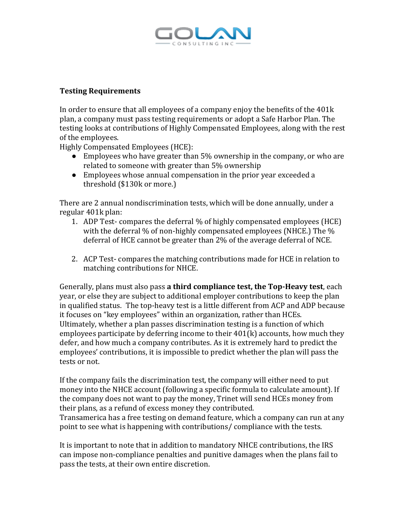

### **Testing Requirements**

In order to ensure that all employees of a company enjoy the benefits of the 401k plan, a company must pass testing requirements or adopt a Safe Harbor Plan. The testing looks at contributions of Highly Compensated Employees, along with the rest of the employees.

Highly Compensated Employees (HCE):

- Employees who have greater than 5% ownership in the company, or who are related to someone with greater than 5% ownership
- Employees whose annual compensation in the prior year exceeded a threshold (\$130k or more.)

There are 2 annual nondiscrimination tests, which will be done annually, under a regular 401k plan:

- 1. ADP Test- compares the deferral % of highly compensated employees (HCE) with the deferral % of non-highly compensated employees (NHCE.) The % deferral of HCE cannot be greater than 2% of the average deferral of NCE.
- 2. ACP Test- compares the matching contributions made for HCE in relation to matching contributions for NHCE.

Generally, plans must also pass **a third compliance test, the Top-Heavy test**, each year, or else they are subject to additional employer contributions to keep the plan in qualified status. The top-heavy test is a little different from ACP and ADP because it focuses on "key employees" within an organization, rather than HCEs. Ultimately, whether a plan passes discrimination testing is a function of which employees participate by deferring income to their 401(k) accounts, how much they defer, and how much a company contributes. As it is extremely hard to predict the employees' contributions, it is impossible to predict whether the plan will pass the tests or not.

If the company fails the discrimination test, the company will either need to put money into the NHCE account (following a specific formula to calculate amount). If the company does not want to pay the money, Trinet will send HCEs money from their plans, as a refund of excess money they contributed.

Transamerica has a free testing on demand feature, which a company can run at any point to see what is happening with contributions/ compliance with the tests.

It is important to note that in addition to mandatory NHCE contributions, the IRS can impose non-compliance penalties and punitive damages when the plans fail to pass the tests, at their own entire discretion.